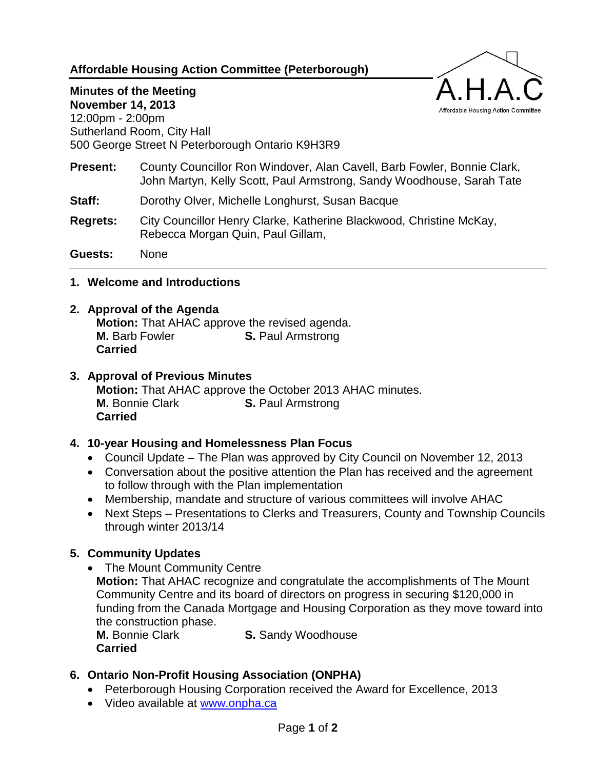### **Affordable Housing Action Committee (Peterborough)**



# **Minutes of the Meeting November 14, 2013**

12:00pm - 2:00pm Sutherland Room, City Hall 500 George Street N Peterborough Ontario K9H3R9

- **Present:** County Councillor Ron Windover, Alan Cavell, Barb Fowler, Bonnie Clark, John Martyn, Kelly Scott, Paul Armstrong, Sandy Woodhouse, Sarah Tate
- **Staff:** Dorothy Olver, Michelle Longhurst, Susan Bacque
- **Regrets:** City Councillor Henry Clarke, Katherine Blackwood, Christine McKay, Rebecca Morgan Quin, Paul Gillam,

**Guests:** None

**1. Welcome and Introductions**

## **2. Approval of the Agenda**

**Motion:** That AHAC approve the revised agenda. **M.** Barb Fowler **S.** Paul Armstrong **Carried**

## **3. Approval of Previous Minutes**

**Motion:** That AHAC approve the October 2013 AHAC minutes. **M.** Bonnie Clark **S.** Paul Armstrong **Carried**

### **4. 10-year Housing and Homelessness Plan Focus**

- Council Update The Plan was approved by City Council on November 12, 2013
- Conversation about the positive attention the Plan has received and the agreement to follow through with the Plan implementation
- Membership, mandate and structure of various committees will involve AHAC
- Next Steps Presentations to Clerks and Treasurers, County and Township Councils through winter 2013/14

# **5. Community Updates**

• The Mount Community Centre

**Motion:** That AHAC recognize and congratulate the accomplishments of The Mount Community Centre and its board of directors on progress in securing \$120,000 in funding from the Canada Mortgage and Housing Corporation as they move toward into the construction phase.

**Carried**

**M.** Bonnie Clark **S.** Sandy Woodhouse

# **6. Ontario Non-Profit Housing Association (ONPHA)**

- Peterborough Housing Corporation received the Award for Excellence, 2013
- Video available at [www.onpha.ca](http://www.onpha.ca/)